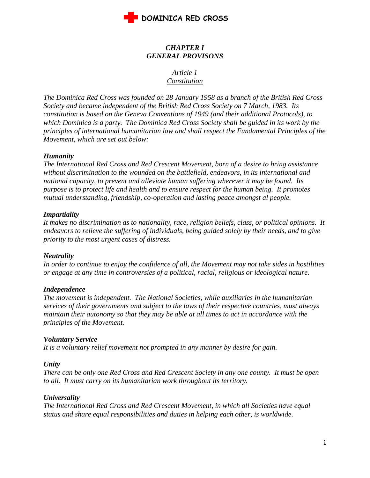

# *CHAPTER I GENERAL PROVISONS*

#### *Article 1 Constitution*

*The Dominica Red Cross was founded on 28 January 1958 as a branch of the British Red Cross Society and became independent of the British Red Cross Society on 7 March, 1983. Its constitution is based on the Geneva Conventions of 1949 (and their additional Protocols), to which Dominica is a party. The Dominica Red Cross Society shall be guided in its work by the principles of international humanitarian law and shall respect the Fundamental Principles of the Movement, which are set out below:*

#### *Humanity*

*The International Red Cross and Red Crescent Movement, born of a desire to bring assistance without discrimination to the wounded on the battlefield, endeavors, in its international and national capacity, to prevent and alleviate human suffering wherever it may be found. Its purpose is to protect life and health and to ensure respect for the human being. It promotes mutual understanding, friendship, co-operation and lasting peace amongst al people.*

#### *Impartiality*

*It makes no discrimination as to nationality, race, religion beliefs, class, or political opinions. It endeavors to relieve the suffering of individuals, being guided solely by their needs, and to give priority to the most urgent cases of distress.*

#### *Neutrality*

*In order to continue to enjoy the confidence of all, the Movement may not take sides in hostilities or engage at any time in controversies of a political, racial, religious or ideological nature.*

# *Independence*

*The movement is independent. The National Societies, while auxiliaries in the humanitarian services of their governments and subject to the laws of their respective countries, must always maintain their autonomy so that they may be able at all times to act in accordance with the principles of the Movement.*

#### *Voluntary Service*

*It is a voluntary relief movement not prompted in any manner by desire for gain.*

#### *Unity*

*There can be only one Red Cross and Red Crescent Society in any one county. It must be open to all. It must carry on its humanitarian work throughout its territory.*

#### *Universality*

*The International Red Cross and Red Crescent Movement, in which all Societies have equal status and share equal responsibilities and duties in helping each other, is worldwide.*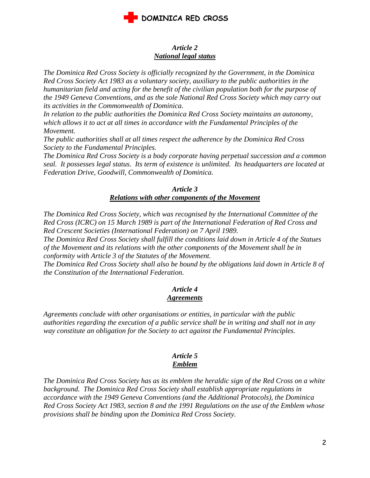

#### *Article 2 National legal status*

*The Dominica Red Cross Society is officially recognized by the Government, in the Dominica Red Cross Society Act 1983 as a voluntary society, auxiliary to the public authorities in the humanitarian field and acting for the benefit of the civilian population both for the purpose of the 1949 Geneva Conventions, and as the sole National Red Cross Society which may carry out its activities in the Commonwealth of Dominica.* 

*In relation to the public authorities the Dominica Red Cross Society maintains an autonomy, which allows it to act at all times in accordance with the Fundamental Principles of the Movement.* 

*The public authorities shall at all times respect the adherence by the Dominica Red Cross Society to the Fundamental Principles.*

*The Dominica Red Cross Society is a body corporate having perpetual succession and a common seal. It possesses legal status. Its term of existence is unlimited. Its headquarters are located at Federation Drive, Goodwill, Commonwealth of Dominica.*

#### *Article 3 Relations with other components of the Movement*

*The Dominica Red Cross Society, which was recognised by the International Committee of the Red Cross (ICRC) on 15 March 1989 is part of the International Federation of Red Cross and Red Crescent Societies (International Federation) on 7 April 1989.*

*The Dominica Red Cross Society shall fulfill the conditions laid down in Article 4 of the Statues of the Movement and its relations with the other components of the Movement shall be in conformity with Article 3 of the Statutes of the Movement.*

*The Dominica Red Cross Society shall also be bound by the obligations laid down in Article 8 of the Constitution of the International Federation.*

# *Article 4 Agreements*

*Agreements conclude with other organisations or entities, in particular with the public authorities regarding the execution of a public service shall be in writing and shall not in any way constitute an obligation for the Society to act against the Fundamental Principles.*

# *Article 5 Emblem*

*The Dominica Red Cross Society has as its emblem the heraldic sign of the Red Cross on a white background. The Dominica Red Cross Society shall establish appropriate regulations in accordance with the 1949 Geneva Conventions (and the Additional Protocols), the Dominica Red Cross Society Act 1983, section 8 and the 1991 Regulations on the use of the Emblem whose provisions shall be binding upon the Dominica Red Cross Society.*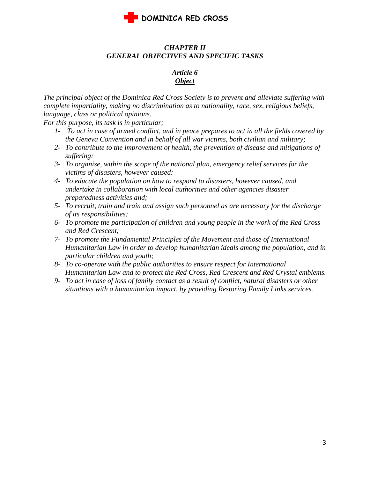

# *CHAPTER II GENERAL OBJECTIVES AND SPECIFIC TASKS*

# *Article 6 Object*

*The principal object of the Dominica Red Cross Society is to prevent and alleviate suffering with complete impartiality, making no discrimination as to nationality, race, sex, religious beliefs, language, class or political opinions.*

*For this purpose, its task is in particular;*

- *1- To act in case of armed conflict, and in peace prepares to act in all the fields covered by the Geneva Convention and in behalf of all war victims, both civilian and military;*
- *2- To contribute to the improvement of health, the prevention of disease and mitigations of suffering:*
- *3- To organise, within the scope of the national plan, emergency relief services for the victims of disasters, however caused:*
- *4- To educate the population on how to respond to disasters, however caused, and undertake in collaboration with local authorities and other agencies disaster preparedness activities and;*
- *5- To recruit, train and train and assign such personnel as are necessary for the discharge of its responsibilities;*
- *6- To promote the participation of children and young people in the work of the Red Cross and Red Crescent;*
- *7- To promote the Fundamental Principles of the Movement and those of International Humanitarian Law in order to develop humanitarian ideals among the population, and in particular children and youth;*
- *8- To co-operate with the public authorities to ensure respect for International Humanitarian Law and to protect the Red Cross, Red Crescent and Red Crystal emblems.*
- *9- To act in case of loss of family contact as a result of conflict, natural disasters or other situations with a humanitarian impact, by providing Restoring Family Links services.*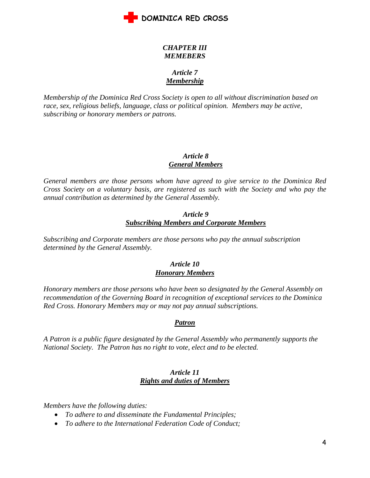

# *CHAPTER III MEMEBERS*

# *Article 7 Membership*

*Membership of the Dominica Red Cross Society is open to all without discrimination based on race, sex, religious beliefs, language, class or political opinion. Members may be active, subscribing or honorary members or patrons.*

# *Article 8 General Members*

*General members are those persons whom have agreed to give service to the Dominica Red Cross Society on a voluntary basis, are registered as such with the Society and who pay the annual contribution as determined by the General Assembly.*

# *Article 9 Subscribing Members and Corporate Members*

*Subscribing and Corporate members are those persons who pay the annual subscription determined by the General Assembly.*

# *Article 10 Honorary Members*

*Honorary members are those persons who have been so designated by the General Assembly on recommendation of the Governing Board in recognition of exceptional services to the Dominica Red Cross. Honorary Members may or may not pay annual subscriptions.*

# *Patron*

*A Patron is a public figure designated by the General Assembly who permanently supports the National Society. The Patron has no right to vote, elect and to be elected.*

# *Article 11 Rights and duties of Members*

*Members have the following duties:*

- *To adhere to and disseminate the Fundamental Principles;*
- *To adhere to the International Federation Code of Conduct;*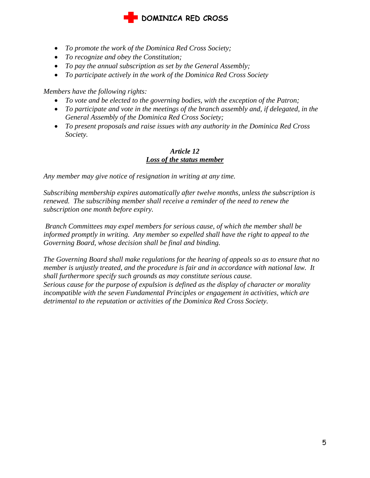# **DOMINICA RED CROSS**

- *To promote the work of the Dominica Red Cross Society;*
- *To recognize and obey the Constitution;*
- *To pay the annual subscription as set by the General Assembly;*
- *To participate actively in the work of the Dominica Red Cross Society*

*Members have the following rights:*

- *To vote and be elected to the governing bodies, with the exception of the Patron;*
- *To participate and vote in the meetings of the branch assembly and, if delegated, in the General Assembly of the Dominica Red Cross Society;*
- *To present proposals and raise issues with any authority in the Dominica Red Cross Society.*

## *Article 12 Loss of the status member*

*Any member may give notice of resignation in writing at any time.* 

*Subscribing membership expires automatically after twelve months, unless the subscription is renewed. The subscribing member shall receive a reminder of the need to renew the subscription one month before expiry.* 

*Branch Committees may expel members for serious cause, of which the member shall be informed promptly in writing. Any member so expelled shall have the right to appeal to the Governing Board, whose decision shall be final and binding.*

*The Governing Board shall make regulations for the hearing of appeals so as to ensure that no member is unjustly treated, and the procedure is fair and in accordance with national law. It shall furthermore specify such grounds as may constitute serious cause. Serious cause for the purpose of expulsion is defined as the display of character or morality incompatible with the seven Fundamental Principles or engagement in activities, which are detrimental to the reputation or activities of the Dominica Red Cross Society.*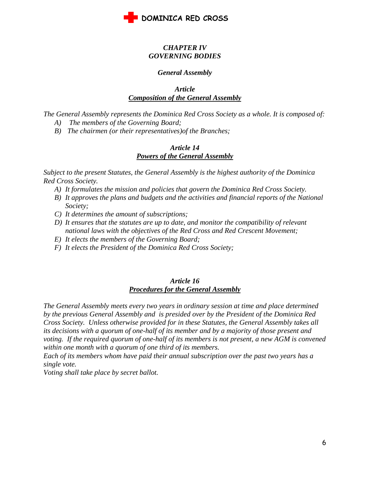

## *CHAPTER IV GOVERNING BODIES*

#### *General Assembly*

#### *Article Composition of the General Assembly*

*The General Assembly represents the Dominica Red Cross Society as a whole. It is composed of:*

- *A) The members of the Governing Board;*
- *B) The chairmen (or their representatives)of the Branches;*

#### *Article 14 Powers of the General Assembly*

*Subject to the present Statutes, the General Assembly is the highest authority of the Dominica Red Cross Society.* 

- *A) It formulates the mission and policies that govern the Dominica Red Cross Society.*
- *B) It approves the plans and budgets and the activities and financial reports of the National Society;*
- *C) It determines the amount of subscriptions;*
- *D) It ensures that the statutes are up to date, and monitor the compatibility of relevant national laws with the objectives of the Red Cross and Red Crescent Movement;*
- *E) It elects the members of the Governing Board;*
- *F) It elects the President of the Dominica Red Cross Society;*

#### *Article 16 Procedures for the General Assembly*

*The General Assembly meets every two years in ordinary session at time and place determined by the previous General Assembly and is presided over by the President of the Dominica Red Cross Society. Unless otherwise provided for in these Statutes, the General Assembly takes all its decisions with a quorum of one-half of its member and by a majority of those present and voting. If the required quorum of one-half of its members is not present, a new AGM is convened within one month with a quorum of one third of its members.* 

*Each of its members whom have paid their annual subscription over the past two years has a single vote.*

*Voting shall take place by secret ballot.*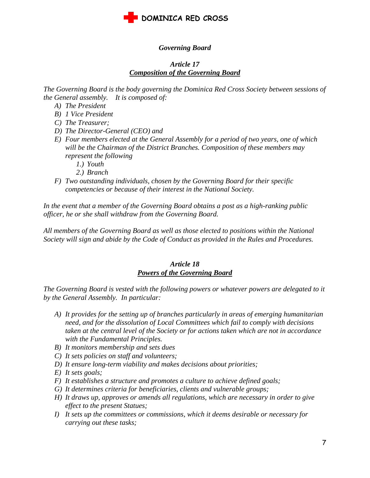

# *Governing Board*

# *Article 17 Composition of the Governing Board*

*The Governing Board is the body governing the Dominica Red Cross Society between sessions of the General assembly. It is composed of:*

- *A) The President*
- *B) 1 Vice President*
- *C) The Treasurer;*
- *D) The Director-General (CEO) and*
- *E) Four members elected at the General Assembly for a period of two years, one of which will be the Chairman of the District Branches. Composition of these members may represent the following*
	- *1.) Youth*
	- *2.) Branch*
- *F) Two outstanding individuals, chosen by the Governing Board for their specific competencies or because of their interest in the National Society.*

*In the event that a member of the Governing Board obtains a post as a high-ranking public officer, he or she shall withdraw from the Governing Board.*

*All members of the Governing Board as well as those elected to positions within the National Society will sign and abide by the Code of Conduct as provided in the Rules and Procedures.*

#### *Article 18 Powers of the Governing Board*

*The Governing Board is vested with the following powers or whatever powers are delegated to it by the General Assembly. In particular:*

- *A) It provides for the setting up of branches particularly in areas of emerging humanitarian need, and for the dissolution of Local Committees which fail to comply with decisions taken at the central level of the Society or for actions taken which are not in accordance with the Fundamental Principles.*
- *B) It monitors membership and sets dues*
- *C) It sets policies on staff and volunteers;*
- *D) It ensure long-term viability and makes decisions about priorities;*
- *E) It sets goals;*
- *F) It establishes a structure and promotes a culture to achieve defined goals;*
- *G) It determines criteria for beneficiaries, clients and vulnerable groups;*
- *H) It draws up, approves or amends all regulations, which are necessary in order to give effect to the present Statues;*
- *I) It sets up the committees or commissions, which it deems desirable or necessary for carrying out these tasks;*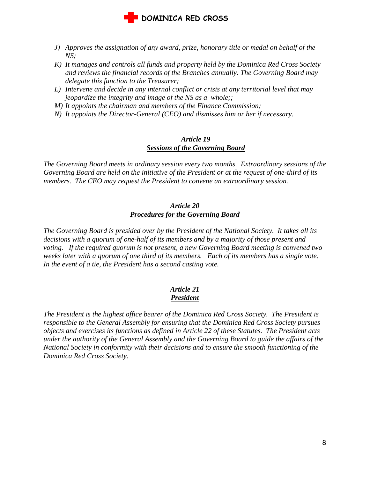

- *J) Approves the assignation of any award, prize, honorary title or medal on behalf of the NS;*
- *K) It manages and controls all funds and property held by the Dominica Red Cross Society and reviews the financial records of the Branches annually. The Governing Board may delegate this function to the Treasurer;*
- *L) Intervene and decide in any internal conflict or crisis at any territorial level that may jeopardize the integrity and image of the NS as a whole;;*
- *M) It appoints the chairman and members of the Finance Commission;*
- *N) It appoints the Director-General (CEO) and dismisses him or her if necessary.*

#### *Article 19 Sessions of the Governing Board*

*The Governing Board meets in ordinary session every two months. Extraordinary sessions of the Governing Board are held on the initiative of the President or at the request of one-third of its members. The CEO may request the President to convene an extraordinary session.*

#### *Article 20 Procedures for the Governing Board*

*The Governing Board is presided over by the President of the National Society. It takes all its decisions with a quorum of one-half of its members and by a majority of those present and voting. If the required quorum is not present, a new Governing Board meeting is convened two weeks later with a quorum of one third of its members. Each of its members has a single vote. In the event of a tie, the President has a second casting vote.*

# *Article 21 President*

*The President is the highest office bearer of the Dominica Red Cross Society. The President is responsible to the General Assembly for ensuring that the Dominica Red Cross Society pursues objects and exercises its functions as defined in Article 22 of these Statutes. The President acts under the authority of the General Assembly and the Governing Board to guide the affairs of the National Society in conformity with their decisions and to ensure the smooth functioning of the Dominica Red Cross Society.*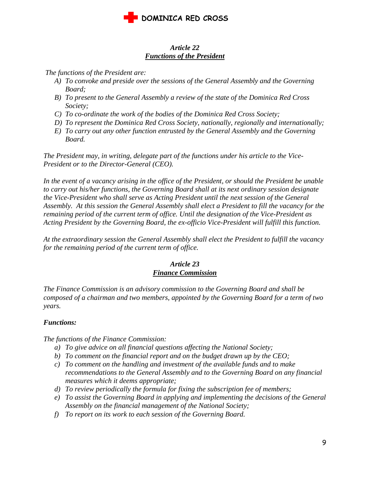

# *Article 22 Functions of the President*

*The functions of the President are:*

- *A) To convoke and preside over the sessions of the General Assembly and the Governing Board;*
- *B) To present to the General Assembly a review of the state of the Dominica Red Cross Society;*
- *C) To co-ordinate the work of the bodies of the Dominica Red Cross Society;*
- *D) To represent the Dominica Red Cross Society, nationally, regionally and internationally;*
- *E) To carry out any other function entrusted by the General Assembly and the Governing Board.*

*The President may, in writing, delegate part of the functions under his article to the Vice-President or to the Director-General (CEO).* 

*In the event of a vacancy arising in the office of the President, or should the President be unable to carry out his/her functions, the Governing Board shall at its next ordinary session designate the Vice-President who shall serve as Acting President until the next session of the General Assembly. At this session the General Assembly shall elect a President to fill the vacancy for the remaining period of the current term of office. Until the designation of the Vice-President as Acting President by the Governing Board, the ex-officio Vice-President will fulfill this function.*

*At the extraordinary session the General Assembly shall elect the President to fulfill the vacancy for the remaining period of the current term of office.*

# *Article 23 Finance Commission*

*The Finance Commission is an advisory commission to the Governing Board and shall be composed of a chairman and two members, appointed by the Governing Board for a term of two years.*

# *Functions:*

*The functions of the Finance Commission:*

- *a) To give advice on all financial questions affecting the National Society;*
- *b) To comment on the financial report and on the budget drawn up by the CEO;*
- *c) To comment on the handling and investment of the available funds and to make recommendations to the General Assembly and to the Governing Board on any financial measures which it deems appropriate;*
- *d) To review periodically the formula for fixing the subscription fee of members;*
- *e) To assist the Governing Board in applying and implementing the decisions of the General Assembly on the financial management of the National Society;*
- *f) To report on its work to each session of the Governing Board.*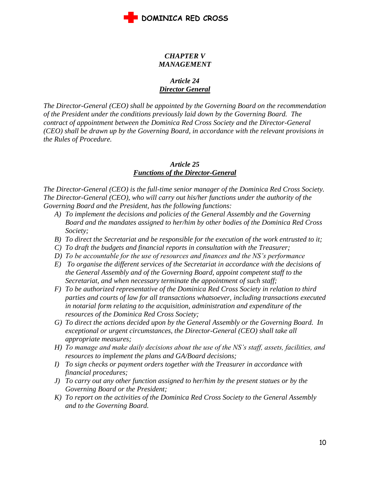

# *CHAPTER V MANAGEMENT*

# *Article 24 Director General*

*The Director-General (CEO) shall be appointed by the Governing Board on the recommendation of the President under the conditions previously laid down by the Governing Board. The contract of appointment between the Dominica Red Cross Society and the Director-General (CEO) shall be drawn up by the Governing Board, in accordance with the relevant provisions in the Rules of Procedure.*

#### *Article 25 Functions of the Director-General*

*The Director-General (CEO) is the full-time senior manager of the Dominica Red Cross Society. The Director-General (CEO), who will carry out his/her functions under the authority of the Governing Board and the President, has the following functions:*

- *A) To implement the decisions and policies of the General Assembly and the Governing Board and the mandates assigned to her/him by other bodies of the Dominica Red Cross Society;*
- *B) To direct the Secretariat and be responsible for the execution of the work entrusted to it;*
- *C) To draft the budgets and financial reports in consultation with the Treasurer;*
- *D) To be accountable for the use of resources and finances and the NS's performance*
- *E) To organise the different services of the Secretariat in accordance with the decisions of the General Assembly and of the Governing Board, appoint competent staff to the Secretariat, and when necessary terminate the appointment of such staff;*
- *F) To be authorized representative of the Dominica Red Cross Society in relation to third parties and courts of law for all transactions whatsoever, including transactions executed in notarial form relating to the acquisition, administration and expenditure of the resources of the Dominica Red Cross Society;*
- *G) To direct the actions decided upon by the General Assembly or the Governing Board. In exceptional or urgent circumstances, the Director-General (CEO) shall take all appropriate measures;*
- *H) To manage and make daily decisions about the use of the NS's staff, assets, facilities, and resources to implement the plans and GA/Board decisions;*
- *I) To sign checks or payment orders together with the Treasurer in accordance with financial procedures;*
- *J) To carry out any other function assigned to her/him by the present statues or by the Governing Board or the President;*
- *K) To report on the activities of the Dominica Red Cross Society to the General Assembly and to the Governing Board.*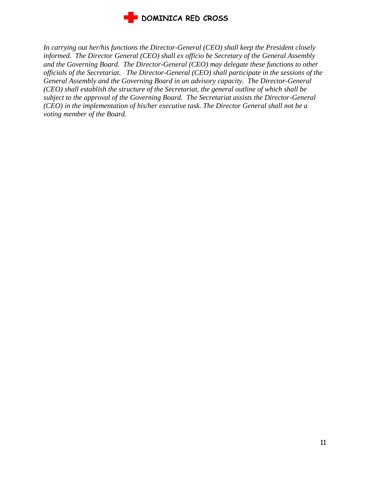

*In carrying out her/his functions the Director-General (CEO) shall keep the President closely informed. The Director General (CEO) shall ex officio be Secretary of the General Assembly and the Governing Board. The Director-General (CEO) may delegate these functions to other officials of the Secretariat. The Director-General (CEO) shall participate in the sessions of the General Assembly and the Governing Board in an advisory capacity. The Director-General (CEO) shall establish the structure of the Secretariat, the general outline of which shall be subject to the approval of the Governing Board. The Secretariat assists the Director-General (CEO) in the implementation of his/her executive task. The Director General shall not be a voting member of the Board.*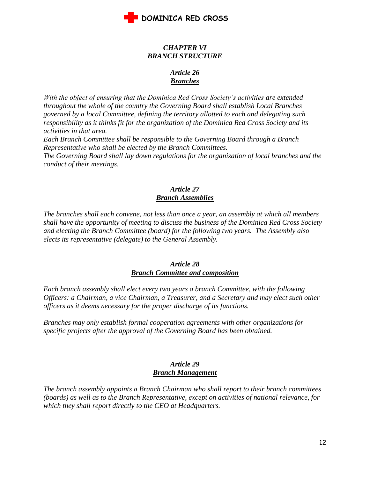

### *CHAPTER VI BRANCH STRUCTURE*

# *Article 26 Branches*

*With the object of ensuring that the Dominica Red Cross Society's activities are extended throughout the whole of the country the Governing Board shall establish Local Branches governed by a local Committee, defining the territory allotted to each and delegating such responsibility as it thinks fit for the organization of the Dominica Red Cross Society and its activities in that area.*

*Each Branch Committee shall be responsible to the Governing Board through a Branch Representative who shall be elected by the Branch Committees.*

*The Governing Board shall lay down regulations for the organization of local branches and the conduct of their meetings.*

# *Article 27 Branch Assemblies*

*The branches shall each convene, not less than once a year, an assembly at which all members shall have the opportunity of meeting to discuss the business of the Dominica Red Cross Society and electing the Branch Committee (board) for the following two years. The Assembly also elects its representative (delegate) to the General Assembly.*

## *Article 28 Branch Committee and composition*

*Each branch assembly shall elect every two years a branch Committee, with the following Officers: a Chairman, a vice Chairman, a Treasurer, and a Secretary and may elect such other officers as it deems necessary for the proper discharge of its functions.*

*Branches may only establish formal cooperation agreements with other organizations for specific projects after the approval of the Governing Board has been obtained.*

#### *Article 29 Branch Management*

*The branch assembly appoints a Branch Chairman who shall report to their branch committees (boards) as well as to the Branch Representative, except on activities of national relevance, for which they shall report directly to the CEO at Headquarters.*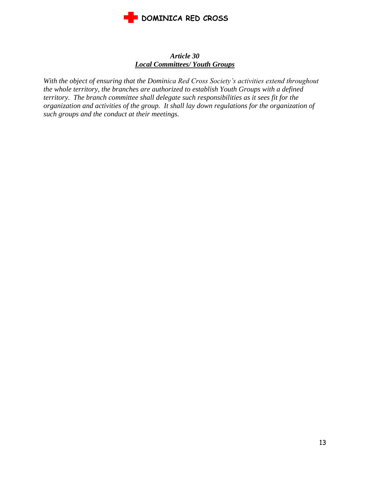

# *Article 30 Local Committees/ Youth Groups*

*With the object of ensuring that the Dominica Red Cross Society's activities extend throughout the whole territory, the branches are authorized to establish Youth Groups with a defined territory. The branch committee shall delegate such responsibilities as it sees fit for the organization and activities of the group. It shall lay down regulations for the organization of such groups and the conduct at their meetings.*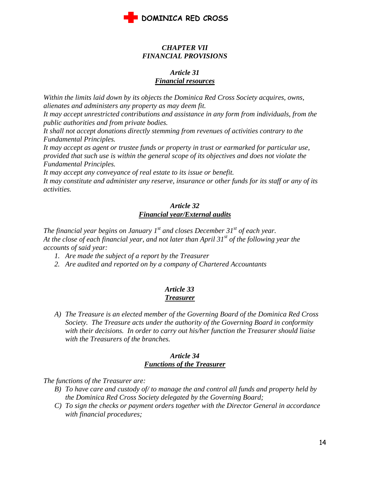

#### *CHAPTER VII FINANCIAL PROVISIONS*

## *Article 31 Financial resources*

*Within the limits laid down by its objects the Dominica Red Cross Society acquires, owns, alienates and administers any property as may deem fit.*

*It may accept unrestricted contributions and assistance in any form from individuals, from the public authorities and from private bodies.*

*It shall not accept donations directly stemming from revenues of activities contrary to the Fundamental Principles.* 

*It may accept as agent or trustee funds or property in trust or earmarked for particular use, provided that such use is within the general scope of its objectives and does not violate the Fundamental Principles.*

*It may accept any conveyance of real estate to its issue or benefit.*

*It may constitute and administer any reserve, insurance or other funds for its staff or any of its activities.*

# *Article 32 Financial year/External audits*

*The financial year begins on January 1st and closes December 31st of each year. At the close of each financial year, and not later than April 31st of the following year the accounts of said year:*

- *1. Are made the subject of a report by the Treasurer*
- *2. Are audited and reported on by a company of Chartered Accountants*

#### *Article 33 Treasurer*

*A) The Treasure is an elected member of the Governing Board of the Dominica Red Cross Society. The Treasure acts under the authority of the Governing Board in conformity with their decisions. In order to carry out his/her function the Treasurer should liaise with the Treasurers of the branches.*

#### *Article 34 Functions of the Treasurer*

*The functions of the Treasurer are:*

- *B) To have care and custody of/ to manage the and control all funds and property held by the Dominica Red Cross Society delegated by the Governing Board;*
- *C) To sign the checks or payment orders together with the Director General in accordance with financial procedures;*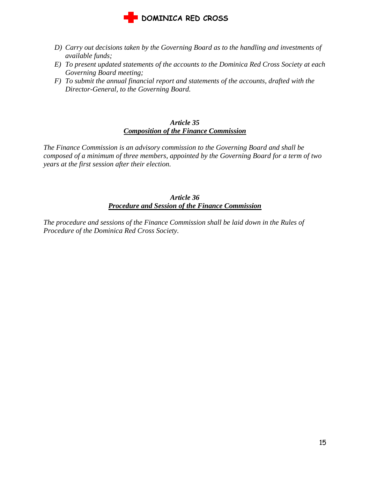

- *D) Carry out decisions taken by the Governing Board as to the handling and investments of available funds;*
- *E) To present updated statements of the accounts to the Dominica Red Cross Society at each Governing Board meeting;*
- *F) To submit the annual financial report and statements of the accounts, drafted with the Director-General, to the Governing Board.*

#### *Article 35 Composition of the Finance Commission*

*The Finance Commission is an advisory commission to the Governing Board and shall be composed of a minimum of three members, appointed by the Governing Board for a term of two years at the first session after their election.* 

# *Article 36 Procedure and Session of the Finance Commission*

*The procedure and sessions of the Finance Commission shall be laid down in the Rules of Procedure of the Dominica Red Cross Society.*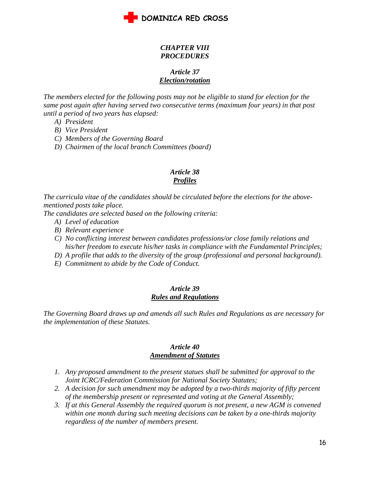

## *CHAPTER VIII PROCEDURES*

## *Article 37 Election/rotation*

*The members elected for the following posts may not be eligible to stand for election for the same post again after having served two consecutive terms (maximum four years) in that post until a period of two years has elapsed:*

- *A) President*
- *B) Vice President*
- *C) Members of the Governing Board*
- *D) Chairmen of the local branch Committees (board)*

# *Article 38*

# *Profiles*

*The curricula vitae of the candidates should be circulated before the elections for the abovementioned posts take place.* 

*The candidates are selected based on the following criteria:*

- *A) Level of education*
- *B) Relevant experience*
- *C) No conflicting interest between candidates professions/or close family relations and his/her freedom to execute his/her tasks in compliance with the Fundamental Principles;*
- *D) A profile that adds to the diversity of the group (professional and personal background).*
- *E) Commitment to abide by the Code of Conduct.*

#### *Article 39 Rules and Regulations*

*The Governing Board draws up and amends all such Rules and Regulations as are necessary for the implementation of these Statutes.*

#### *Article 40 Amendment of Statutes*

- *1. Any proposed amendment to the present statues shall be submitted for approval to the Joint ICRC/Federation Commission for National Society Statutes;*
- *2. A decision for such amendment may be adopted by a two-thirds majority of fifty percent of the membership present or represented and voting at the General Assembly;*
- *3. If at this General Assembly the required quorum is not present, a new AGM is convened within one month during such meeting decisions can be taken by a one-thirds majority regardless of the number of members present.*